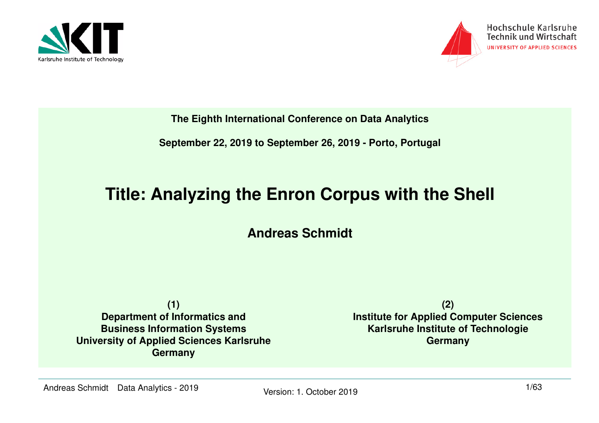



**The Eighth International Conference on Data Analytics**

**September 22, 2019 to September 26, 2019 - Porto, Portugal**

#### **Title: Analyzing the Enron Corpus with the Shell**

**Andreas Schmidt**

**(1) Department of Informatics and Business Information Systems University of Applied Sciences KarlsruheGermany**

**(2) Institute for Applied Computer SciencesKarlsruhe Institute of TechnologieGermany**

Andreas Schmidt Data Analytics - 2019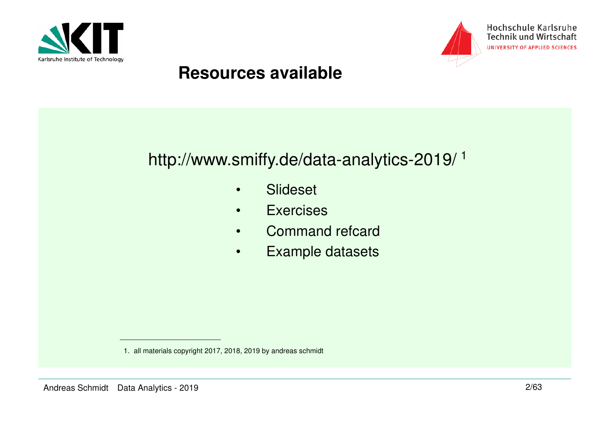



#### **Resources available**

### http://www.smiffy.de/data-analytics-2019/ 1

- •Slideset
- •**Exercises**
- •Command refcard
- •Example datasets

<sup>1.</sup> all materials copyright 2017, 2018, 2019 by andreas schmidt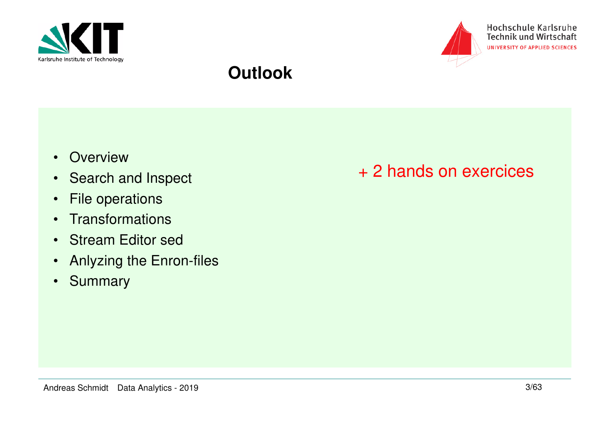



#### **Outlook**

- Overview
- Search and Inspect
- •File operations
- Transformations
- Stream Editor sed
- Anlyzing the Enron-files•
- •**Summary**

#### + 2 hands on exercices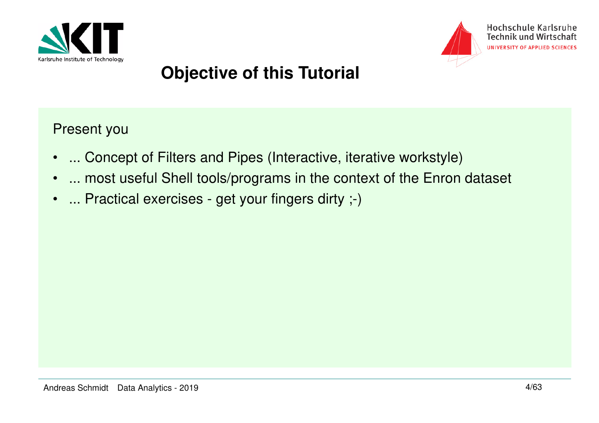



# **Objective of this Tutorial**

Present you

- $\bullet$ ... Concept of Filters and Pipes (Interactive, iterative workstyle)
- •... most useful Shell tools/programs in the context of the Enron dataset
- •... Practical exercises - get your fingers dirty ;-)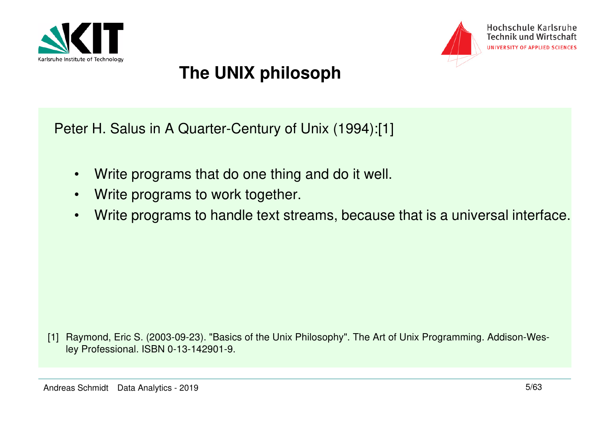



# **The UNIX philosoph**

Peter H. Salus in A Quarter-Century of Unix (1994):[1]

- $\bullet$ Write programs that do one thing and do it well.
- •Write programs to work together.
- •Write programs to handle text streams, because that is a universal interface.

[1] Raymond, Eric S. (2003-09-23). "Basics of the Unix Philosophy". The Art of Unix Programming. Addison-Wesley Professional. ISBN 0-13-142901-9.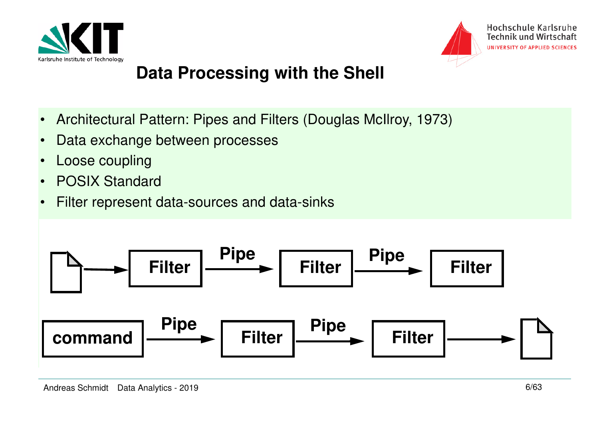



# **Data Processing with the Shell**

- •Architectural Pattern: Pipes and Filters (Douglas McIlroy, 1973)
- $\bullet$ Data exchange between processes
- •Loose coupling
- •POSIX Standard
- $\bullet$ Filter represent data-sources and data-sinks

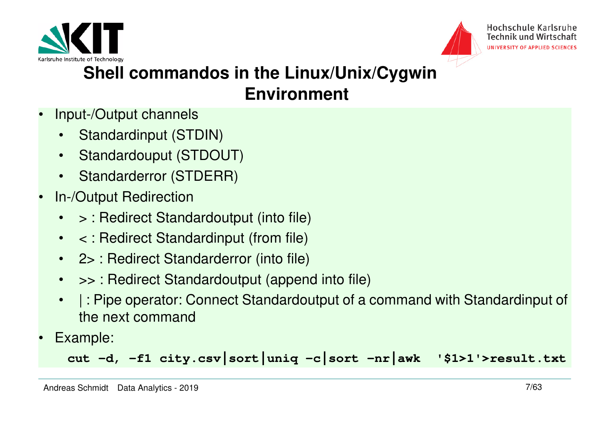



# **Shell commandos in the Linux/Unix/Cygwin Environment**

- • Input-/Output channels
	- •Standardinput (STDIN)
	- $\bullet$ Standardouput (STDOUT)
	- •Standarderror (STDERR)
- • In-/Output Redirection
	- •> : Redirect Standardoutput (into file)
	- $\bullet$ < : Redirect Standardinput (from file)
	- $\bullet$ 2> : Redirect Standarderror (into file)
	- •>> : Redirect Standardoutput (append into file)
	- • | : Pipe operator: Connect Standardoutput of a command with Standardinput of the next command
- •Example:

**cut -d, -f1 city.csv|sort|uniq -c|sort -nr|awk '\$1>1'>result.txt**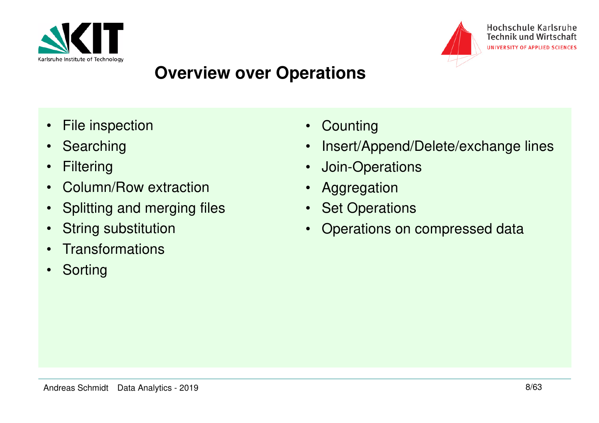



## **Overview over Operations**

- $\bullet$ File inspection
- Searching
- $\bullet$ **Filtering**
- •Column/Row extraction
- $\bullet$ Splitting and merging files
- $\bullet$ String substitution
- $\bullet$ **Transformations**
- Sorting
- Counting
- •Insert/Append/Delete/exchange lines
- •Join-Operations
- $\bullet$ Aggregation
- $\bullet$ **Set Operations**
- $\bullet$ Operations on compressed data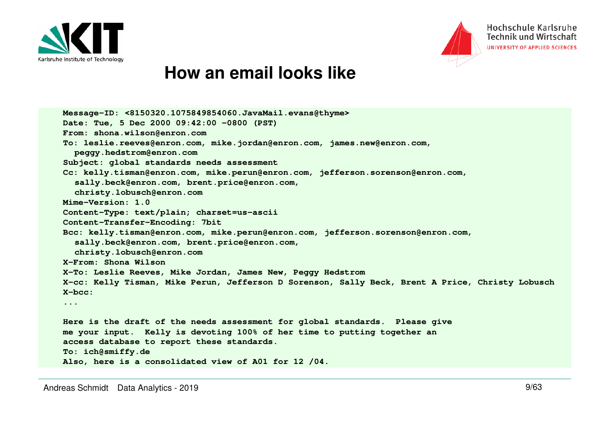



#### **How an email looks like**

```
Message-ID: <8150320.1075849854060.JavaMail.evans@thyme>Date: Tue, 5 Dec 2000 09:42:00 -0800 (PST)From: shona.wilson@enron.com
To: leslie.reeves@enron.com, mike.jordan@enron.com, james.new@enron.com, peggy.hedstrom@enron.com
Subject: global standards needs assessment
Cc: kelly.tisman@enron.com, mike.perun@enron.com, jefferson.sorenson@enron.com, sally.beck@enron.com, brent.price@enron.com, christy.lobusch@enron.comMime-Version: 1.0
Content-Type: text/plain; charset=us-asciiContent-Transfer-Encoding: 7bit
Bcc: kelly.tisman@enron.com, mike.perun@enron.com, jefferson.sorenson@enron.com, sally.beck@enron.com, brent.price@enron.com, christy.lobusch@enron.comX-From: Shona Wilson
X-To: Leslie Reeves, Mike Jordan, James New, Peggy Hedstrom
X-cc: Kelly Tisman, Mike Perun, Jefferson D Sorenson, Sally Beck, Brent A Price, Christy LobuschX-bcc: ...Here is the draft of the needs assessment for global standards. Please give me your input. Kelly is devoting 100% of her time to putting together an access database to report these standards.To: ich@smiffy.de
Also, here is a consolidated view of A01 for 12 /04.
```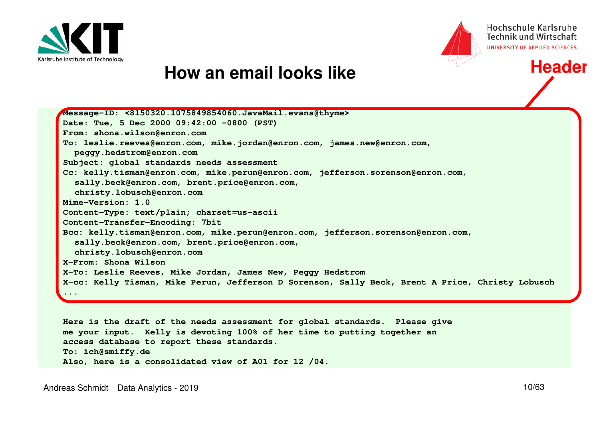



**Header**

#### **How an email looks like**

| Message-ID: <8150320.1075849854060.JavaMail.evans@thyme>                                         |
|--------------------------------------------------------------------------------------------------|
| Date: Tue, 5 Dec 2000 09:42:00 -0800 (PST)                                                       |
| From: shona.wilson@enron.com                                                                     |
| To: leslie.reeves@enron.com, mike.jordan@enron.com, james.new@enron.com,                         |
| peggy.hedstrom@enron.com                                                                         |
| Subject: global standards needs assessment                                                       |
| Cc: kelly.tisman@enron.com, mike.perun@enron.com, jefferson.sorenson@enron.com,                  |
| sally.beck@enron.com, brent.price@enron.com,                                                     |
| christy.lobusch@enron.com                                                                        |
| Mime-Version: 1.0                                                                                |
| Content-Type: text/plain; charset=us-ascii                                                       |
| Content-Transfer-Encoding: 7bit                                                                  |
| Bcc: kelly.tisman@enron.com, mike.perun@enron.com, jefferson.sorenson@enron.com,                 |
| sally.beck@enron.com, brent.price@enron.com,                                                     |
| christy.lobusch@enron.com                                                                        |
| X-From: Shona Wilson                                                                             |
| X-To: Leslie Reeves, Mike Jordan, James New, Peggy Hedstrom                                      |
| X-cc: Kelly Tisman, Mike Perun, Jefferson D Sorenson, Sally Beck, Brent A Price, Christy Lobusch |
| $\cdots$                                                                                         |
|                                                                                                  |

**Here is the draft of the needs assessment for global standards. Please give me your input. Kelly is devoting 100% of her time to putting together an access database to report these standards.To: ich@smiffy.deAlso, here is a consolidated view of A01 for 12 /04.**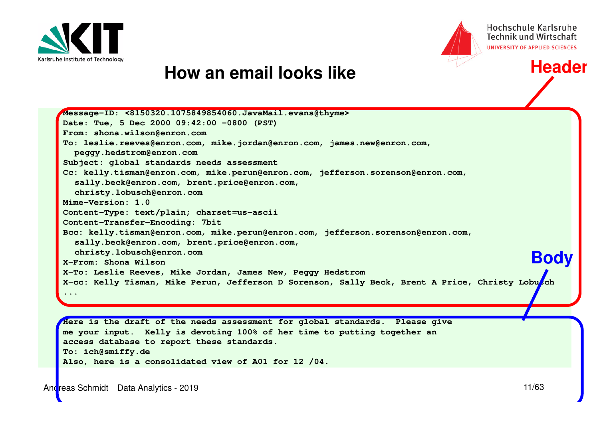



**Header**

#### **How an email looks like**

**Message-ID: <8150320.1075849854060.JavaMail.evans@thyme>Date: Tue, 5 Dec 2000 09:42:00 -0800 (PST)From: shona.wilson@enron.com To: leslie.reeves@enron.com, mike.jordan@enron.com, james.new@enron.com, peggy.hedstrom@enron.com Subject: global standards needs assessment Cc: kelly.tisman@enron.com, mike.perun@enron.com, jefferson.sorenson@enron.com, sally.beck@enron.com, brent.price@enron.com, christy.lobusch@enron.comMime-Version: 1.0 Content-Type: text/plain; charset=us-asciiContent-Transfer-Encoding: 7bit Bcc: kelly.tisman@enron.com, mike.perun@enron.com, jefferson.sorenson@enron.com, sally.beck@enron.com, brent.price@enron.com, christy.lobusch@enron.comX-From: Shona Wilson X-To: Leslie Reeves, Mike Jordan, James New, Peggy Hedstrom X-cc: Kelly Tisman, Mike Perun, Jefferson D Sorenson, Sally Beck, Brent A Price, Christy Lobusch...Body**

**Here is the draft of the needs assessment for global standards. Please give me your input. Kelly is devoting 100% of her time to putting together an access database to report these standards.To: ich@smiffy.deAlso, here is a consolidated view of A01 for 12 /04.**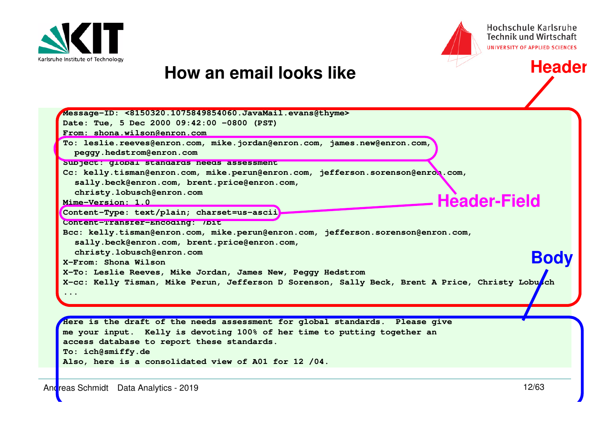



**Header**

#### **How an email looks like**

| Message-ID: <8150320.1075849854060.JavaMail.evans@thyme>                                         |
|--------------------------------------------------------------------------------------------------|
| Date: Tue, 5 Dec 2000 09:42:00 -0800 (PST)                                                       |
| From: shona.wilson@enron.com                                                                     |
| To: leslie.reeves@enron.com, mike.jordan@enron.com, james.new@enron.com,                         |
| peggy.hedstrom@enron.com                                                                         |
| Subject: global standards needs assessment                                                       |
| Cc: kelly.tisman@enron.com, mike.perun@enron.com, jefferson.sorenson@enron.com,                  |
| sally.beck@enron.com, brent.price@enron.com,                                                     |
| christy.lobusch@enron.com                                                                        |
| <b>Header-Field</b><br>Mime-Version: 1.0                                                         |
| Content-Type: text/plain; charset=us-ascii                                                       |
| Content-Transter-Encoding: 7Dit                                                                  |
| Bcc: kelly.tisman@enron.com, mike.perun@enron.com, jefferson.sorenson@enron.com,                 |
| sally.beck@enron.com, brent.price@enron.com,                                                     |
| christy.lobusch@enron.com                                                                        |
| <b>Bod</b><br>X-From: Shona Wilson                                                               |
| X-To: Leslie Reeves, Mike Jordan, James New, Peggy Hedstrom                                      |
| X-cc: Kelly Tisman, Mike Perun, Jefferson D Sorenson, Sally Beck, Brent A Price, Christy Lobusch |
| $\ddot{\bullet}$ $\ddot{\bullet}$ $\ddot{\bullet}$                                               |
|                                                                                                  |
|                                                                                                  |
| Here is the draft of the needs assessment for global standards. Please give                      |
| me your input. Kelly is devoting 100% of her time to putting together an                         |
| access database to report these standards.                                                       |
| To: ich@smiffy.de                                                                                |
|                                                                                                  |

**Also, here is a consolidated view of A01 for 12 /04.**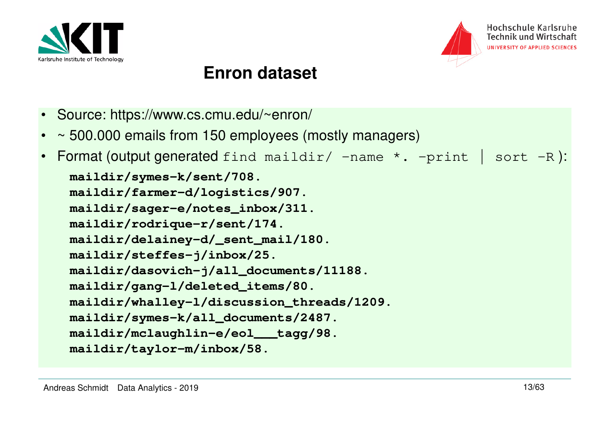



#### **Enron dataset**

- Source: https://www.cs.cmu.edu/~enron/
- •~ 500.000 emails from 150 employees (mostly managers)
- •Format (output generated find maildir/  $-$ name  $*$ .  $-$ print | sort  $-R$ ): **maildir/symes-k/sent/708. maildir/farmer-d/logistics/907. maildir/sager-e/notes\_inbox/311.maildir/rodrique-r/sent/174. maildir/delainey-d/\_sent\_mail/180.maildir/steffes-j/inbox/25. maildir/dasovich-j/all\_documents/11188.maildir/gang-l/deleted\_items/80. maildir/whalley-l/discussion\_threads/1209.maildir/symes-k/all\_documents/2487. maildir/mclaughlin-e/eol\_\_\_tagg/98.maildir/taylor-m/inbox/58.**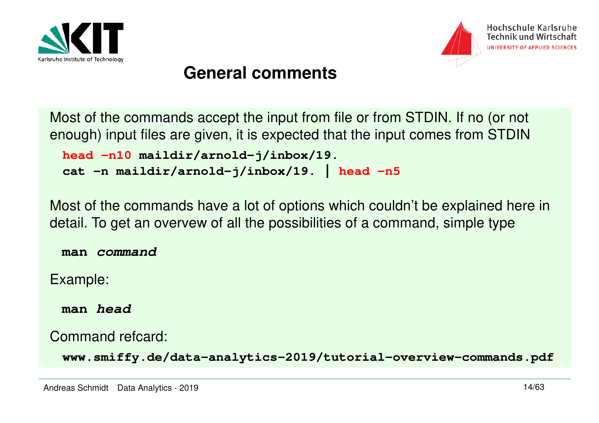



#### **General comments**

 Most of the commands accept the input from file or from STDIN. If no (or not enough) input files are given, it is expected that the input comes from STDIN

```
head -n10 maildir/arnold-j/inbox/19. 
cat -n maildir/arnold-j/inbox/19. | head -n5
```
 Most of the commands have a lot of options which couldn't be explained here in detail. To get an overvew of all the possibilities of a command, simple type

**man command**

Example:

**man head**

Command refcard:

**www.smiffy.de/data-analytics-2019/tutorial-overview-commands.pdf**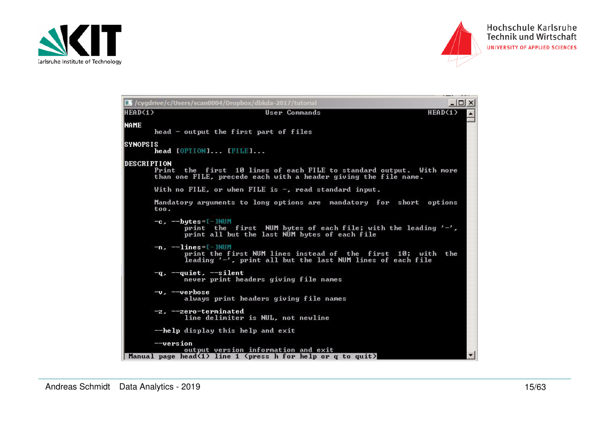



|                    | C /cygdrive/c/Users/scan0004/Dropbox/dbkda-2017/tutorial                                                                                                  | $  $ $\Box$ $\times$ $ $ |
|--------------------|-----------------------------------------------------------------------------------------------------------------------------------------------------------|--------------------------|
| HEAD(1)            | HEAD(1)<br><b>User Commands</b>                                                                                                                           |                          |
| <b>NAME</b>        | head - output the first part of files                                                                                                                     |                          |
| <b>SYNOPSIS</b>    | head [OPTION] [FILE]                                                                                                                                      |                          |
| <b>DESCRIPTION</b> | the first 10 lines of each FILE to standard output. With more<br>Print<br>than one FILE, precede each with a header giving the file name.                 |                          |
|                    | With no $\text{FILE}$ , or when $\text{FILE}$ is $\mathord{\hspace{1pt}\text{--}\hspace{1pt}},$ read standard input.                                      |                          |
|                    | Mandatory arguments to long options are mandatory for short options<br>too.                                                                               |                          |
|                    | $-c$ , $-$ bytes=[-]NUM<br>print the first NUM bytes of each file; with the leading $'-$ ,<br>print all but the last NUM bytes of each file               |                          |
|                    | $-n.$ $-1ines = 1-1$ NUM<br>print the first NUM lines instead of the first 10; with<br>the.<br>leading '-', print all but the last NUM lines of each file |                          |
|                    | $-q$ , $-q$ uiet, $-s$ ilent<br>never print headers giving file names                                                                                     |                          |
|                    | $-v = -v$ erbose<br>always print headers giving file names                                                                                                |                          |
|                    | -z, --zero-terminated<br>line delimiter is NUL, not newline                                                                                               |                          |
|                    | $-\hbox{-}$ help display this help and exit                                                                                                               |                          |
|                    | --version<br>output version information and exit<br>Manual page head(1) line 1 (press h for help or $q$ to $quit$ )                                       | $\overline{\phantom{a}}$ |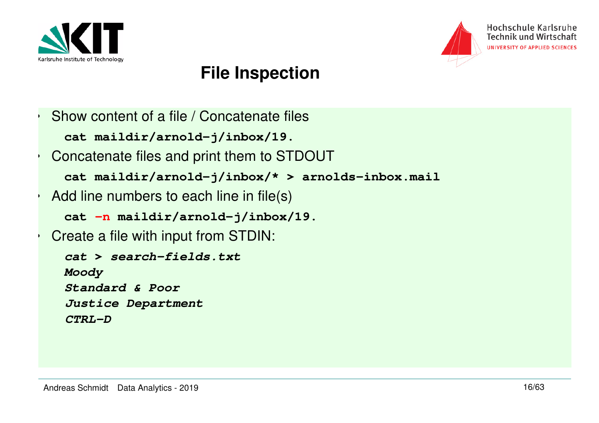

•

•

•

•



## **File Inspection**

```
 Show content of a file / Concatenate filescat maildir/arnold-j/inbox/19. Concatenate files and print them to STDOUTcat maildir/arnold-j/inbox/* > arnolds-inbox.mail Add line numbers to each line in file(s)
  cat -n maildir/arnold-j/inbox/19.  Create a file with input from STDIN:
  cat > search-fields.txtMoody
Standard & Poor
Justice DepartmentCTRL-D
```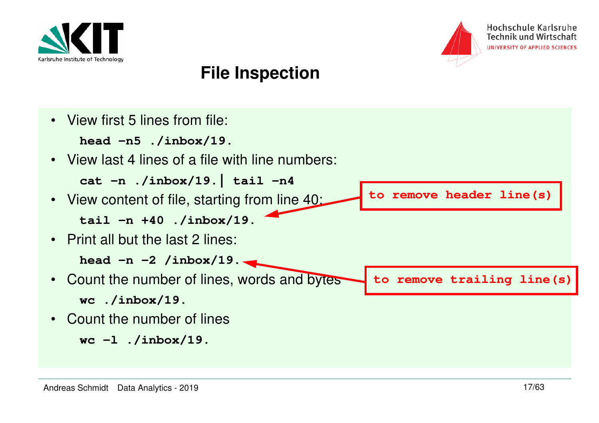



## **File Inspection**

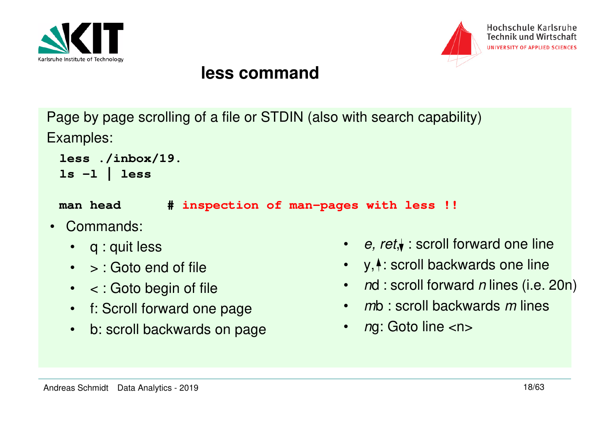



#### **less command**

Page by page scrolling of a file or STDIN (also with search capability)Examples:

```
less ./inbox/19.ls -l | less
```
**man head # inspection of man-pages with less !!**

- $\bullet$  Commands:
	- q : quit less
	- > : Goto end of file
	- < : Goto begin of file
	- f: Scroll forward one page
	- b: scroll backwards on page
- e, ret, $\blacklozenge$  : scroll forward one line
- $\bullet$  $y, \uparrow$ : scroll backwards one line
- nd : scroll forward n lines (i.e. 20n)
- mb : scroll backwards m lines
- •ng: Goto line <n>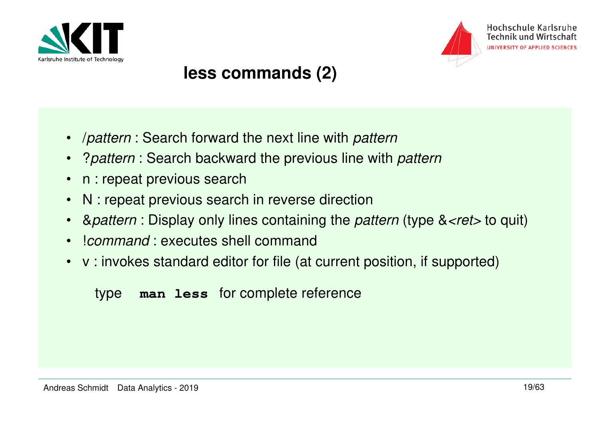



#### **less commands (2)**

- $\bullet$ /pattern : Search forward the next line with pattern
- •? pattern : Search backward the previous line with pattern
- •n : repeat previous search
- $\bullet$ N : repeat previous search in reverse direction
- •& *pattern* : Display only lines containing the *pattern* (type & *<ret* > to quit)
- •!command : executes shell command
- v : invokes standard editor for file (at current position, if supported)

#### type **man less** for complete reference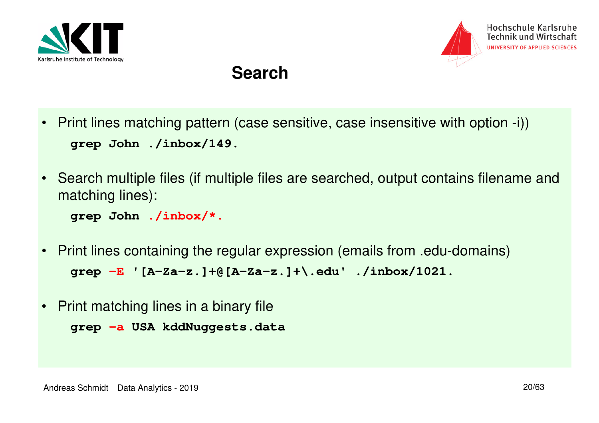



#### **Search**

- Print lines matching pattern (case sensitive, case insensitive with option -i))**grep John ./inbox/149.**
- Search multiple files (if multiple files are searched, output contains filename and matching lines):

**grep John ./inbox/\*.**

- Print lines containing the regular expression (emails from .edu-domains)**grep -E '[A-Za-z.]+@[A-Za-z.]+\.edu' ./inbox/1021.**
- $\bullet$ Print matching lines in a binary file

```
grep -a USA kddNuggests.data
```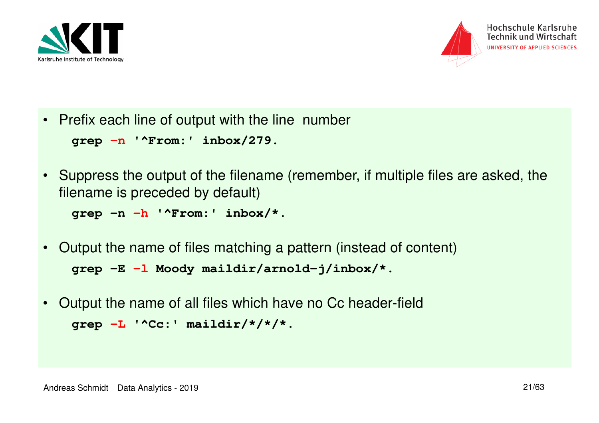



• Prefix each line of output with the line number

```
grep -n '^From:' inbox/279.
```
• Suppress the output of the filename (remember, if multiple files are asked, the filename is preceded by default)

**grep -n -h '^From:' inbox/\*.** 

- $\bullet$  Output the name of files matching a pattern (instead of content)**grep -E -l Moody maildir/arnold-j/inbox/\*.**
- Output the name of all files which have no Cc header-field**grep -L '^Cc:' maildir/\*/\*/\*.**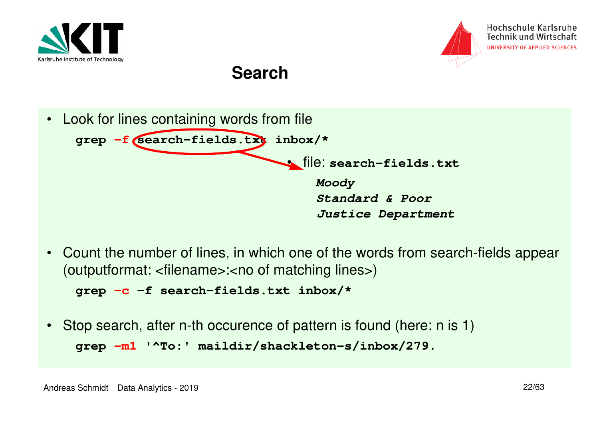



#### **Search**



• Count the number of lines, in which one of the words from search-fields appear (outputformat: <filename>:<no of matching lines>)

```
grep -c -f search-fields.txt inbox/*
```
• Stop search, after n-th occurence of pattern is found (here: n is 1)**grep -m1 '^To:' maildir/shackleton-s/inbox/279.**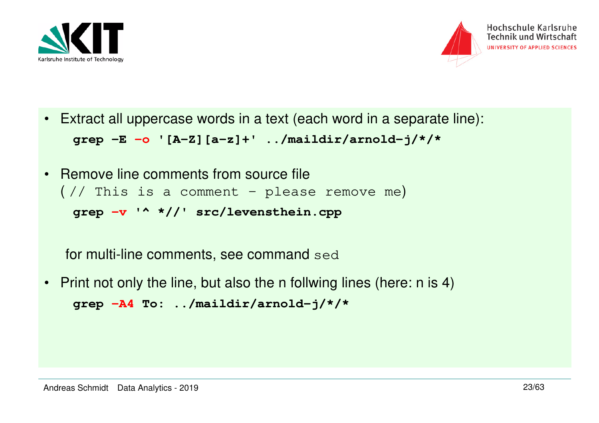



 $\bullet$ Extract all uppercase words in a text (each word in a separate line):

**grep -E -o '[A-Z][a-z]+' ../maildir/arnold-j/\*/\***

 $\bullet$  Remove line comments from source file  $\left(\frac{1}{2}\right)$  This is a comment - please remove me) **grep -v '^ \*//' src/levensthein.cpp**

for multi-line comments, see command sed

• Print not only the line, but also the n follwing lines (here: n is 4)**grep -A4 To: ../maildir/arnold-j/\*/\***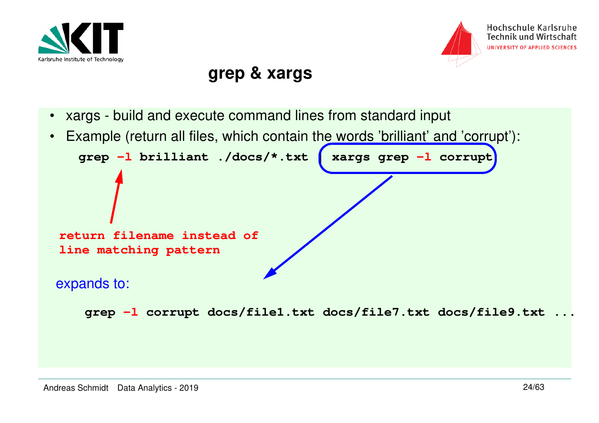



#### **grep & xargs**

 $\bullet$ xargs - build and execute command lines from standard input

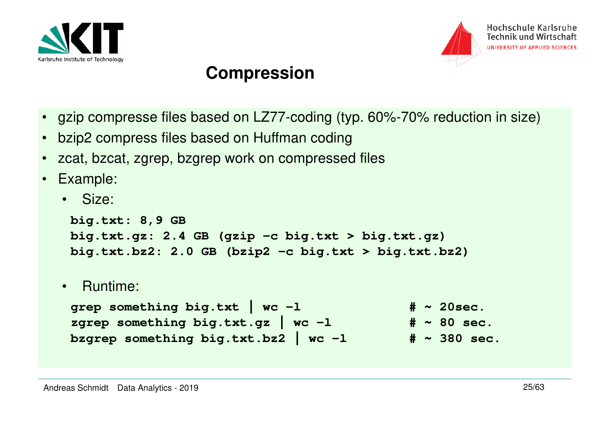



#### **Compression**

- gzip compresse files based on LZ77-coding (typ. 60%-70% reduction in size)
- bzip2 compress files based on Huffman coding
- zcat, bzcat, zgrep, bzgrep work on compressed files
- Example:
	- Size:

```
big.txt: 8,9 GB
big.txt.gz: 2.4 GB (gzip -c big.txt > big.txt.gz)
big.txt.bz2: 2.0 GB (bzip2 -c big.txt > big.txt.bz2)
```
• Runtime:

```
grep something big.txt | wc -1 \# \sim 20sec.
                                              # \sim 80 sec.
zgrep something big.txt.gz | wc -1
                                             # \sim 380 \text{ sec.}bzgrep something big.txt.bz2 | wc -1
```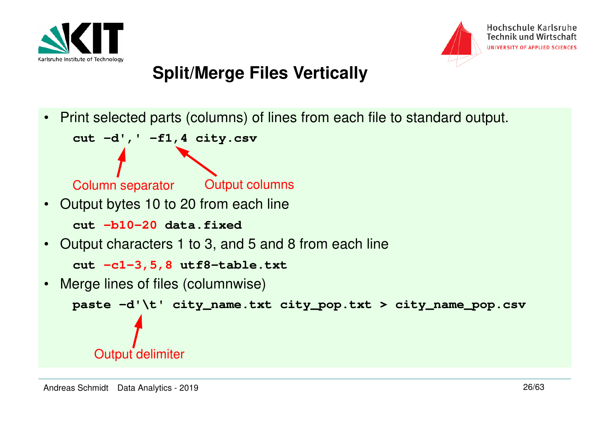



# **Split/Merge Files Vertically**

 $\bullet$ Print selected parts (columns) of lines from each file to standard output.

```
cut -d',' -f1,4 city.csv
```

```
Column separator
```

```
 Output columns
```
•Output bytes 10 to 20 from each line

**cut -b10-20 data.fixed**

•Output characters 1 to 3, and 5 and 8 from each line

**cut -c1-3,5,8 utf8-table.txt**

•Merge lines of files (columnwise)

```
paste -d'\t' city_name.txt city_pop.txt > city_name_pop.csvOutput delimiter
```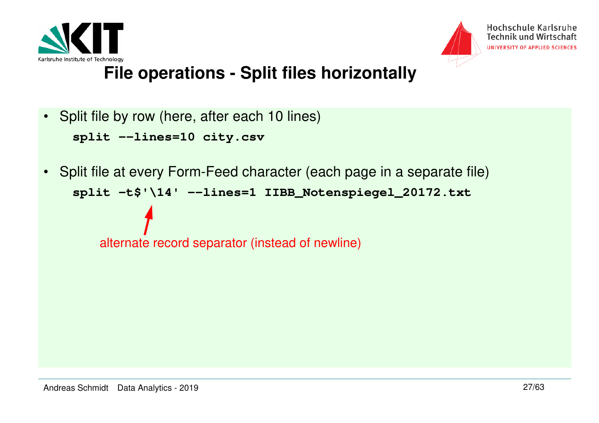



## **File operations - Split files horizontally**

• Split file by row (here, after each 10 lines)

```
split --lines=10 city.csv
```
• Split file at every Form-Feed character (each page in a separate file)**split -t\$'\14' --lines=1 IIBB\_Notenspiegel\_20172.txt**

alternate record separator (instead of newline)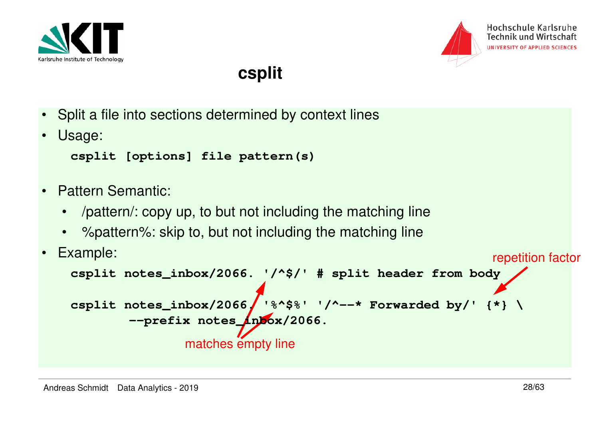



#### **csplit**

- Split a file into sections determined by context lines
- •Usage:

```
csplit [options] file pattern(s)
```
- • Pattern Semantic:
	- $\bullet$ /pattern/: copy up, to but not including the matching line
	- •%pattern%: skip to, but not including the matching line

```
matches empty line
• Example:
    csplit notes_inbox/2066. '/^$/' # split header from bodycsplit notes_inbox/2066/'%^$%' '/^--* Forwarded by/' {*} \
            --prefix notes_inbox/2066.repetition factor
```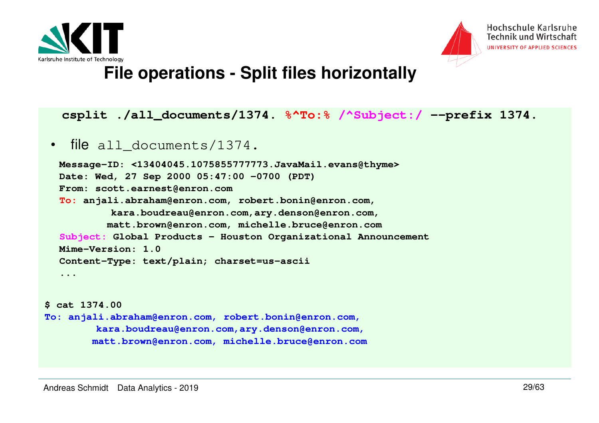



#### **File operations - Split files horizontally**

#### **csplit ./all\_documents/1374. %^To:% /^Subject:/ --prefix 1374.**

#### •file all\_documents/1374.

```
Message-ID: <13404045.1075855777773.JavaMail.evans@thyme>Date: Wed, 27 Sep 2000 05:47:00 -0700 (PDT)From: scott.earnest@enron.com
To: anjali.abraham@enron.com, robert.bonin@enron.com, 
kara.boudreau@enron.com,ary.denson@enron.com,
 matt.brown@enron.com, michelle.bruce@enron.com
Subject: Global Products - Houston Organizational AnnouncementMime-Version: 1.0
Content-Type: text/plain; charset=us-ascii...
```

```
$ cat 1374.00
To: anjali.abraham@enron.com, robert.bonin@enron.com, 
kara.boudreau@enron.com,ary.denson@enron.com,
 matt.brown@enron.com, michelle.bruce@enron.com
```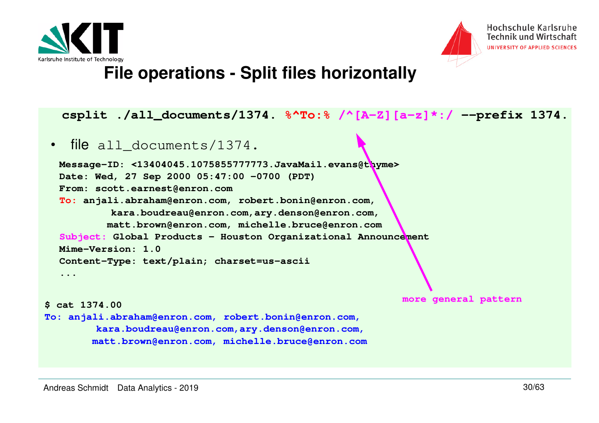



#### **File operations - Split files horizontally**

#### **csplit ./all\_documents/1374. %^To:% /^[A-Z][a-z]\*:/ --prefix 1374.**

#### •file all documents/1374.

```
Message-ID: <13404045.1075855777773.JavaMail.evans@thyme>Date: Wed, 27 Sep 2000 05:47:00 -0700 (PDT)From: scott.earnest@enron.com
To: anjali.abraham@enron.com, robert.bonin@enron.com, 
kara.boudreau@enron.com,ary.denson@enron.com,
 matt.brown@enron.com, michelle.bruce@enron.com
Subject: Global Products - Houston Organizational AnnouncementMime-Version: 1.0
Content-Type: text/plain; charset=us-ascii...more general pattern
```

```
 $ cat 1374.00
To: anjali.abraham@enron.com, robert.bonin@enron.com, 
kara.boudreau@enron.com,ary.denson@enron.com,
 matt.brown@enron.com, michelle.bruce@enron.com
```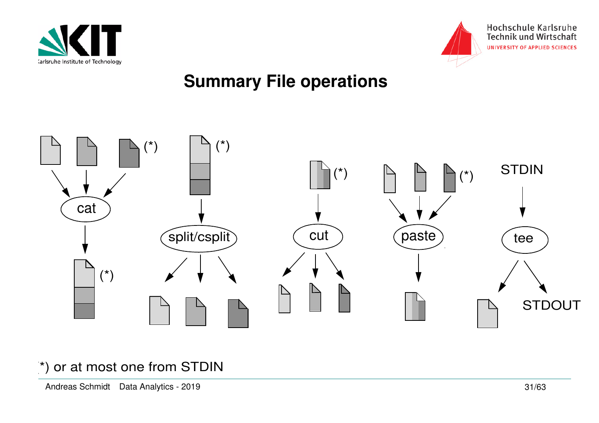



# **Summary File operations**



#### (\*) or at most one from STDIN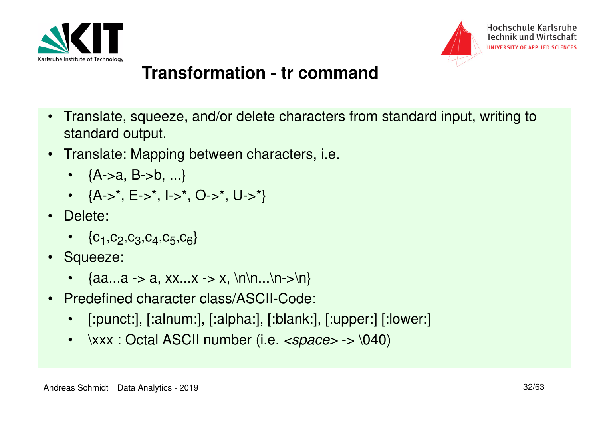



## **Transformation - tr command**

- • Translate, squeeze, and/or delete characters from standard input, writing to standard output.
- Translate: Mapping between characters, i.e.
	- {A->a, B->b, ...}
	- {A->\*, E->\*, I->\*, O->\*, U->\*}
- Delete:
	- $\bullet \quad \{\mathsf{C}_1,\mathsf{C}_2,\mathsf{C}_3,\mathsf{C}_4,\mathsf{C}_5,\mathsf{C}_6\}$
- Squeeze:
	- {aa...a -> a, xx...x -> x, \n\n...\n->\n}
- • Predefined character class/ASCII-Code:
	- $\bullet$ [:punct:], [:alnum:], [:alpha:], [:blank:], [:upper:] [:lower:]
	- $\bullet$  $\forall$ xxx : Octal ASCII number (i.e.  $\langle$ space> ->  $\setminus$ 040)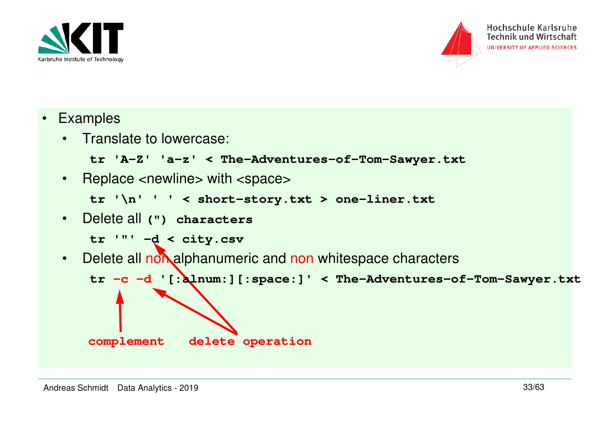



- Examples
	- Translate to lowercase:

```
tr 'A-Z' 'a-z' < The-Adventures-of-Tom-Sawyer.txt
```
• Replace <newline> with <space>

```
tr '\n' ' ' < short-story.txt > one-liner.txt
```
•Delete all **(") characters**

```
tr '"' -d < city.csv
```
Delete all non alphanumeric and non whitespace characters •

```
tr -c -d '[:alnum:][:space:]' < The-Adventures-of-Tom-Sawyer.txt
```
**complement**

**delete operation**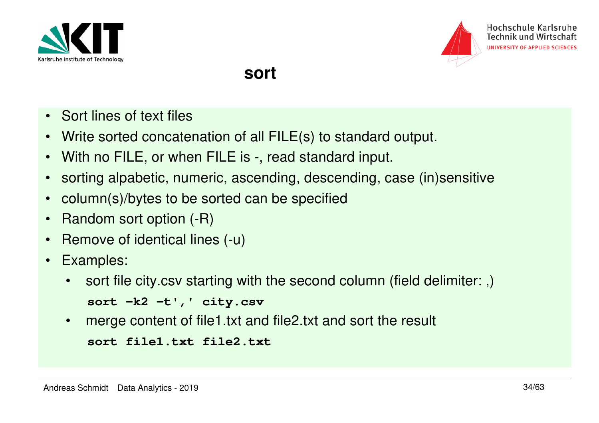



#### **sort**

- Sort lines of text files
- •Write sorted concatenation of all FILE(s) to standard output.
- $\bullet$ With no FILE, or when FILE is -, read standard input.
- •sorting alpabetic, numeric, ascending, descending, case (in)sensitive
- •column(s)/bytes to be sorted can be specified
- $\bullet$ Random sort option (-R)
- •Remove of identical lines (-u)
- • Examples:
	- • sort file city.csv starting with the second column (field delimiter: ,)
		- **sort -k2 -t',' city.csv**
	- •merge content of file1.txt and file2.txt and sort the result

```
sort file1.txt file2.txt
```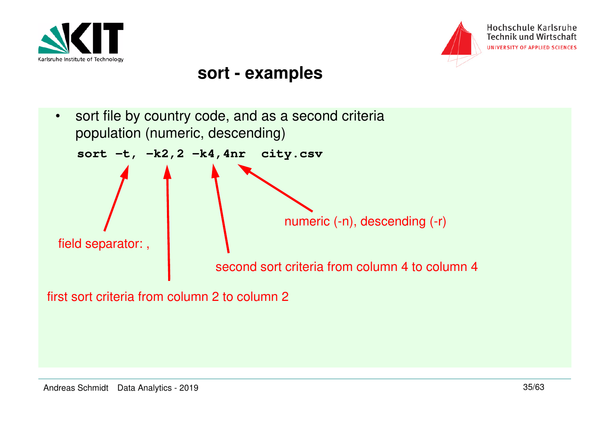



#### **sort - examples**

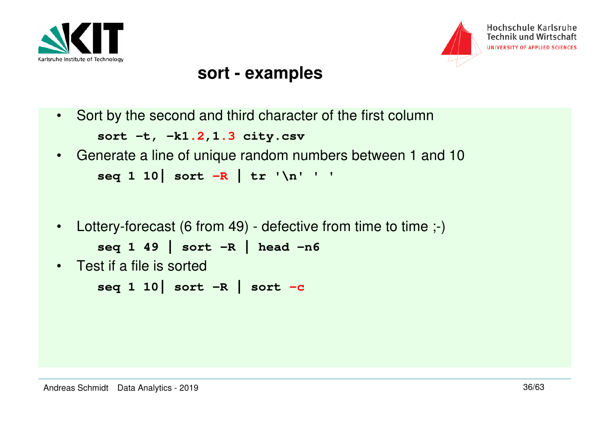



#### **sort - examples**

•Sort by the second and third character of the first column

```
sort -t, -k1.2,1.3 city.csv
```
- Generate a line of unique random numbers between 1 and 10**seq 1 10| sort -R | tr '\n' ' '**
- •Lottery-forecast (6 from 49) - defective from time to time ;-)

```
seq 1 49 | sort -R | head -n6
```
• Test if a file is sorted

```
seq 1 10| sort -R | sort -c
```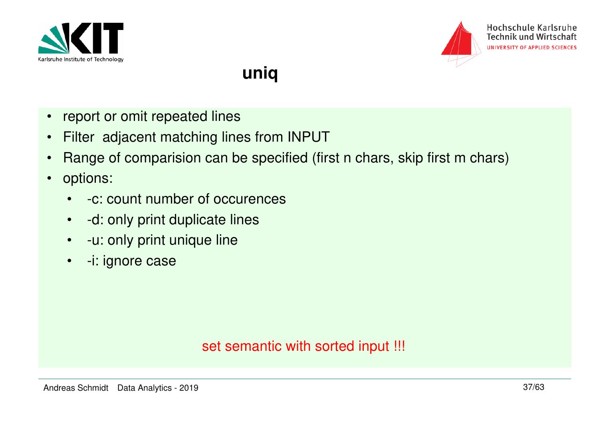



## **uniq**

- $\bullet$ report or omit repeated lines
- $\bullet$ Filter adjacent matching lines from INPUT
- •Range of comparision can be specified (first n chars, skip first m chars)
- $\bullet$  options:
	- •-c: count number of occurences
	- •-d: only print duplicate lines
	- $\bullet$ -u: only print unique line
	- •-i: ignore case

#### set semantic with sorted input !!!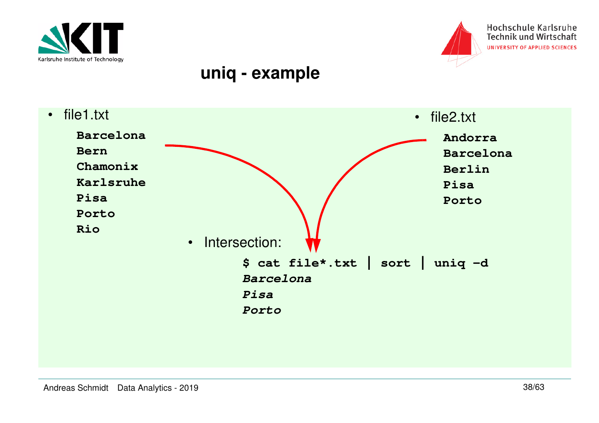



#### Hochschule Karlsruhe **Technik und Wirtschaft** UNIVERSITY OF APPLIED SCIENCES

#### **uniq - example**

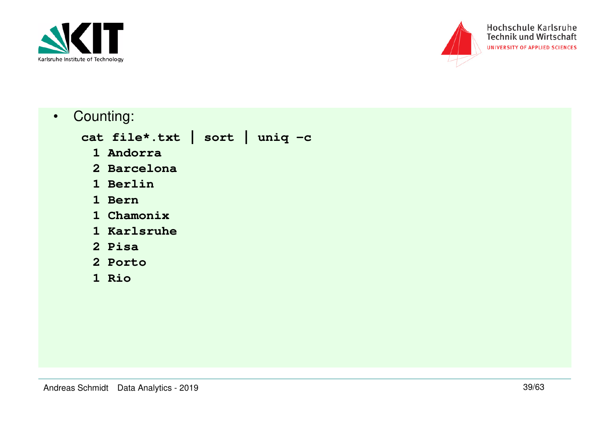



•Counting:

**cat file\*.txt | sort | uniq -c**

- **1 Andorra**
- **2 Barcelona**
	- **1 Berlin**
	- **1 Bern**
- **1 Chamonix**
- **1 Karlsruhe**
	- **2 Pisa**
- **2 Porto**
	- **1 Rio**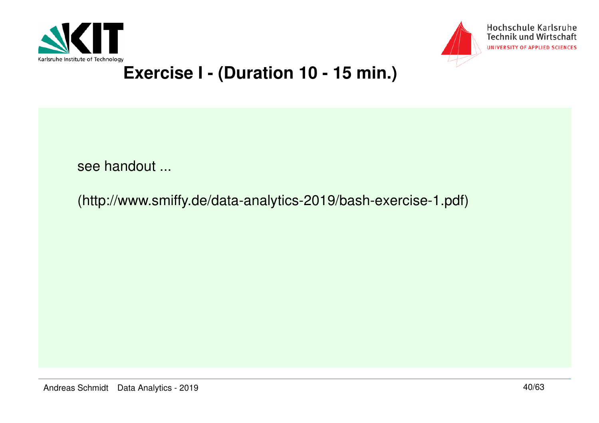



## **Exercise I - (Duration 10 - 15 min.)**

see handout ...

(http://www.smiffy.de/data-analytics-2019/bash-exercise-1.pdf)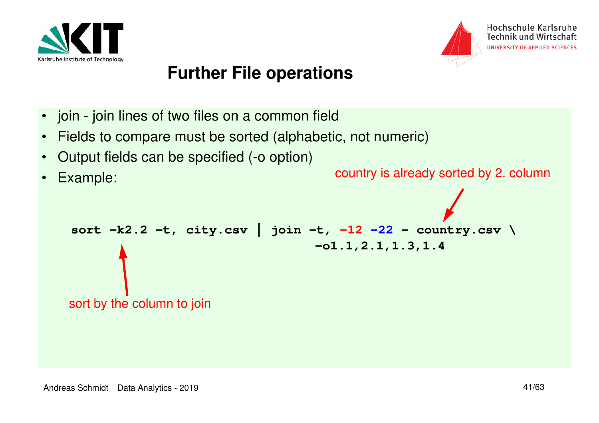



## **Further File operations**

- join join lines of two files on a common field
- •Fields to compare must be sorted (alphabetic, not numeric)
- $\bullet$ Output fields can be specified (-o option)

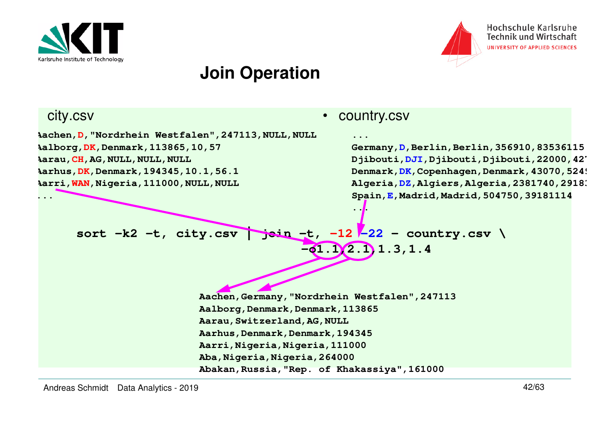



Hochschule Karlsruhe **Technik und Wirtschaft** UNIVERSITY OF APPLIED SCIENCES

#### **Join Operation**

#### city.csv

**...**

**Aachen,D,"Nordrhein Westfalen",247113,NULL,NULLAalborg,DK,Denmark,113865,10,57Aarau,CH,AG,NULL,NULL,NULL Aarhus,DK,Denmark,194345,10.1,56.1Aarri,WAN,Nigeria,111000,NULL,NULL**

#### •country.csv

**...**

**...**

 **Germany,D,Berlin,Berlin,356910,83536115 Djibouti,DJI,Djibouti,Djibouti,22000,427 Denmark,DK,Copenhagen,Denmark,43070,5249Algeria,DZ,Algiers,Algeria,2381740,2918**3 **Spain,E,Madrid,Madrid,504750,39181114**

sort -k2 -t, city.csv ~~join -t~~, -12 ~~-22~~ - country.csv 
$$
\sqrt{-12}
$$

**Aachen,Germany,"Nordrhein Westfalen",247113Aalborg,Denmark,Denmark,113865Aarau,Switzerland,AG,NULL Aarhus,Denmark,Denmark,194345 Aarri,Nigeria,Nigeria,111000Aba,Nigeria,Nigeria,264000Abakan,Russia,"Rep. of Khakassiya",161000**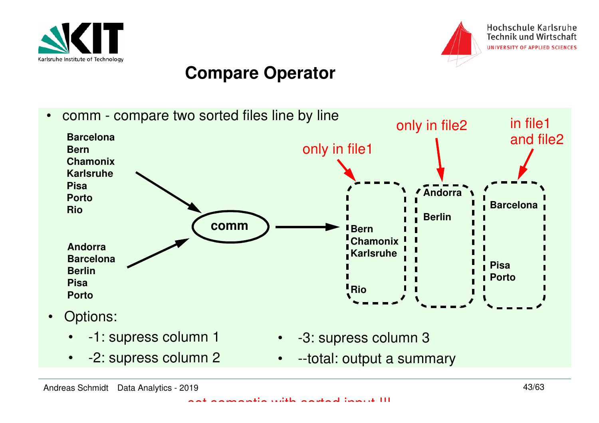



### **Compare Operator**

 $\bullet$  comm - compare two sorted files line by line**BarcelonaBern Chamonix KarlsruhePisa PortoRioAndorra BarcelonaBerlinPisa PortoAndorraBarcelonaBerlinBern Chamonix Karlsruhe Pisa** *Porto* **Riocomm**only in file1only in file2 in file1 and file2 $\bullet$  Options: • -1: supress column 1• -2: supress column 2• -3: supress column 3 $\bullet$ --total: output a summary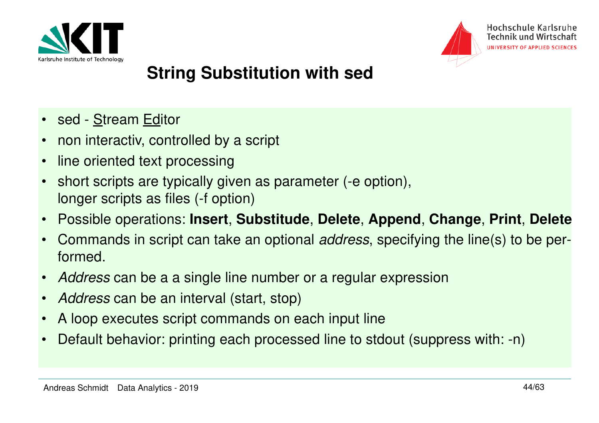



# **String Substitution with sed**

- sed <u>S</u>tream <u>Ed</u>itor
- $\bullet$ non interactiv, controlled by a script
- $\bullet$ line oriented text processing
- • short scripts are typically given as parameter (-e option), longer scripts as files (-f option)
- $\bullet$ Possible operations: **Insert**, **Substitude**, **Delete**, **Append**, **Change**, **Print**, **Delete**
- $\bullet$ Commands in script can take an optional *address*, specifying the line(s) to be performed.
- $\bullet$ Address can be a a single line number or a regular expression
- $\bullet$ Address can be an interval (start, stop)
- $\bullet$ A loop executes script commands on each input line
- •Default behavior: printing each processed line to stdout (suppress with: -n)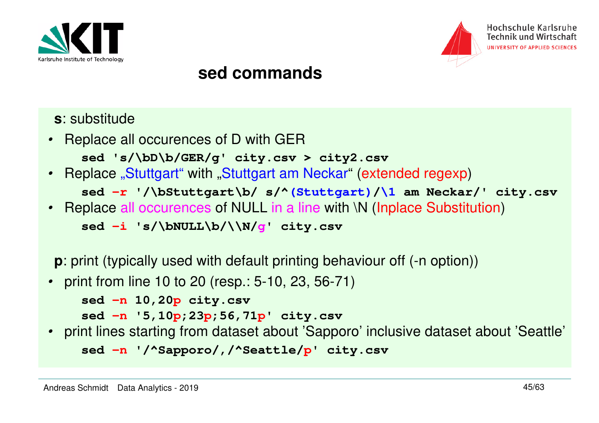



#### **sed commands**

- **<sup>s</sup>**: substitude
- Replace all occurences of D with GER

```

sed 's/\bD\b/GER/g' city.csv > city2.csv
```
• Replace "Stuttgart" with "Stuttgart am Neckar" (extended regexp)

```
sed -r '/\bStuttgart\b/ s/^(Stuttgart)/\1 am Neckar/' city.csv
```
• Replace all occurences of NULL in a line with \N (Inplace Substitution)

**sed -i 's/\bNULL\b/\\N/g' city.csv**

**p**: print (typically used with default printing behaviour off (-n option))

• print from line 10 to 20 (resp.: 5-10, 23, 56-71)

```
sed -n 10,20p city.csv
```

```

sed -n '5,10p;23p;56,71p' city.csv
```
 • print lines starting from dataset about 'Sapporo' inclusive dataset about 'Seattle' **sed -n '/^Sapporo/,/^Seattle/p' city.csv**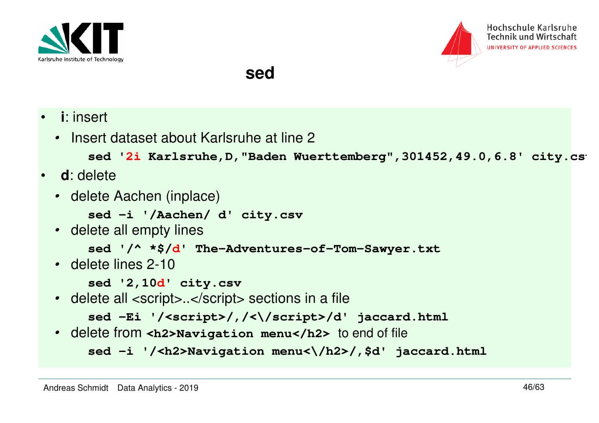



#### **sed**

- • **<sup>i</sup>**: insert
	- Insert dataset about Karlsruhe at line 2

```
sed '2i Karlsruhe, D, "Baden Wuerttemberg", 301452, 49.0, 6.8' city.cs
```
- **<sup>d</sup>**: delete
	- delete Aachen (inplace)

**sed -i '/Aachen/ d' city.csv**

• delete all empty lines

```
sed '/^ *$/d' The-Adventures-of-Tom-Sawyer.txt
```
• delete lines 2-10

**sed '2,10d' city.csv**

• delete all <script>..</script> sections in a file

```

sed -Ei '/<script>/,/<\/script>/d' jaccard.html
```
• delete from **<h2>Navigation menu</h2>** to end of file

```
sed -i '/<h2>Navigation menu<\/h2>/,$d' jaccard.html
```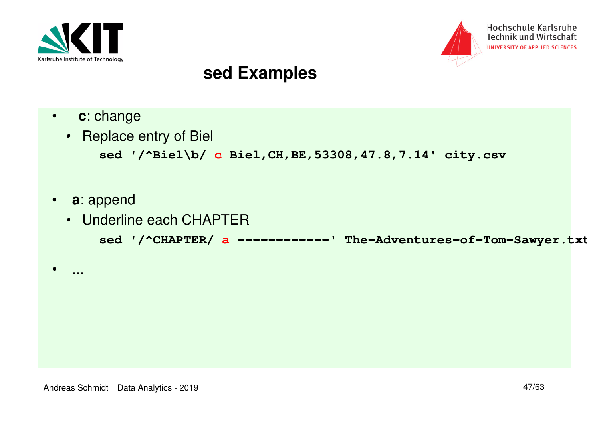



#### **sed Examples**

- $\bullet$ **<sup>c</sup>**: change
- Replace entry of Biel **sed '/^Biel\b/ c Biel,CH,BE,53308,47.8,7.14' city.csv**
- $\bullet$ **<sup>a</sup>**: append

•

...

• Underline each CHAPTER**sed '/^CHAPTER/ a ------------' The-Adventures-of-Tom-Sawyer.txt**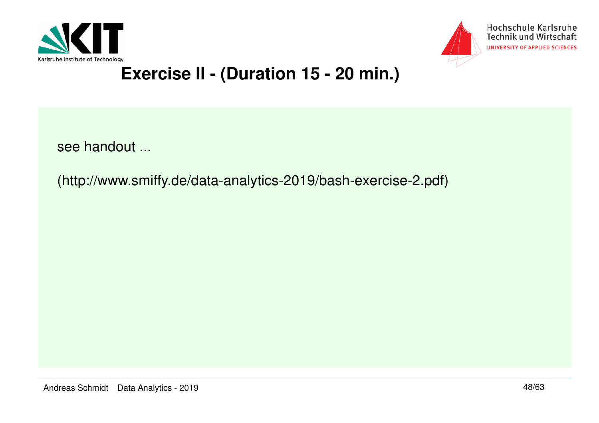



# **Exercise II - (Duration 15 - 20 min.)**

see handout ...

(http://www.smiffy.de/data-analytics-2019/bash-exercise-2.pdf)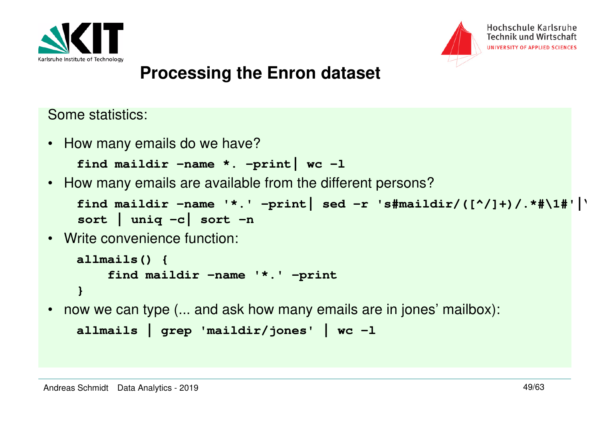



#### **Processing the Enron dataset**

Some statistics:

• How many emails do we have?

```
find maildir -name *. -print| wc -l
```
• How many emails are available from the different persons?

```
find maildir -name '*.' -print| sed -r 's#maildir/([^/]+)/.*#\1#'|\sort | uniq -c| sort -n
```
• Write convenience function:

```
allmails() {
 find maildir -name '*.' -print}
```
• now we can type (... and ask how many emails are in jones' mailbox):

```
allmails | grep 'maildir/jones' | wc -l
```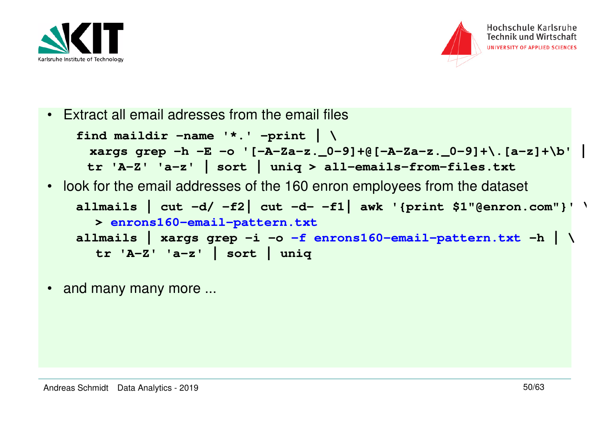



•Extract all email adresses from the email files

```
find maildir -name '*.' -print | \
xargs grep -h -E -o '[-A-Za-z._0-9]+@[-A-Za-z._0-9]+\.[a-z]+\b' | tr 'A-Z' 'a-z' | sort | uniq > all-emails-from-files.txt
• look for the email addresses of the 160 enron employees from the dataset
   allmails | cut -d/ -f2| cut -d- -f1| awk '{print $1"@enron.com"}' \> enrons160-email-pattern.txt
allmails | xargs grep -i -o -f enrons160-email-pattern.txt -h | \tr 'A-Z' 'a-z' | sort | uniq
```
•and many many more ...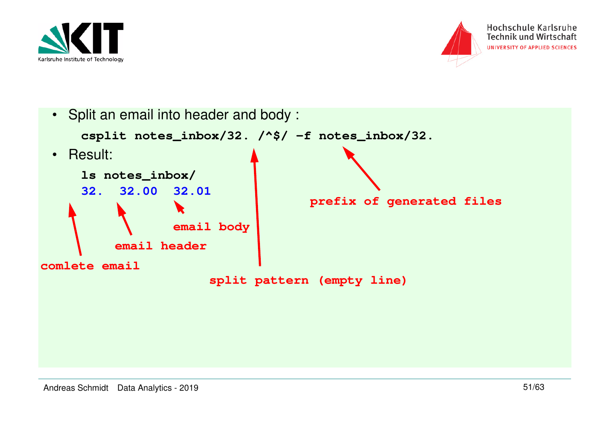



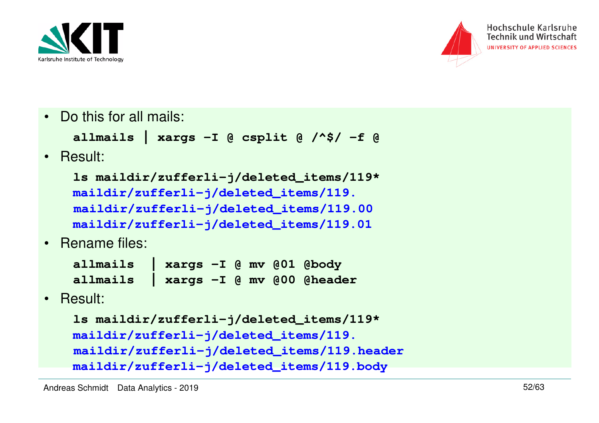



• Do this for all mails:

```
allmails | xargs -I @ csplit @ /^$/ -f @
```
•Result:

```
ls maildir/zufferli-j/deleted_items/119*maildir/zufferli-j/deleted_items/119. 
maildir/zufferli-j/deleted_items/119.00
maildir/zufferli-j/deleted_items/119.01
```
•Rename files:

| allmails   xargs -I @ mv @01 @body   |  |  |  |
|--------------------------------------|--|--|--|
| allmails   xargs -I @ mv @00 @header |  |  |  |

•Result:

```
ls maildir/zufferli-j/deleted_items/119*maildir/zufferli-j/deleted_items/119.
maildir/zufferli-j/deleted_items/119.headermaildir/zufferli-j/deleted_items/119.body
```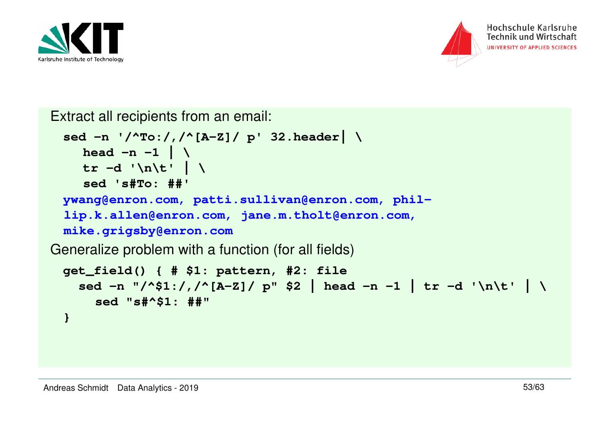



Extract all recipients from an email:

```
sed -n '/^To:/,/^[A-Z]/ p' 32.header| \head -n -1 \vert \ \ \rangle
tr -d '\n\t' | \sed 's#To: ##'
ywang@enron.com, patti.sullivan@enron.com, phil-
 lip.k.allen@enron.com, jane.m.tholt@enron.com, mike.grigsby@enron.com Generalize problem with a function (for all fields)
 get_field() { # $1: pattern, #2: file
 sed -n "/^$1:/,/^[A-Z]/ p" $2 | head -n -1 | tr -d '\n\t' | \sed "s#^$1: ##"}
```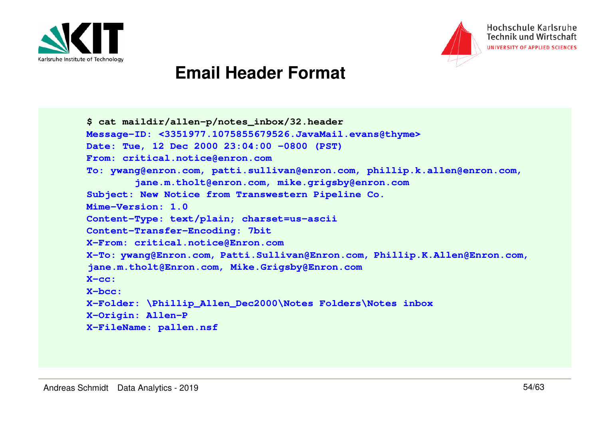



#### **Email Header Format**

**\$ cat maildir/allen-p/notes\_inbox/32.header Message-ID: <3351977.1075855679526.JavaMail.evans@thyme>Date: Tue, 12 Dec 2000 23:04:00 -0800 (PST)From: critical.notice@enron.com To: ywang@enron.com, patti.sullivan@enron.com, phillip.k.allen@enron.com, jane.m.tholt@enron.com, mike.grigsby@enron.comSubject: New Notice from Transwestern Pipeline Co.Mime-Version: 1.0 Content-Type: text/plain; charset=us-asciiContent-Transfer-Encoding: 7bit X-From: critical.notice@Enron.com X-To: ywang@Enron.com, Patti.Sullivan@Enron.com, Phillip.K.Allen@Enron.com, jane.m.tholt@Enron.com, Mike.Grigsby@Enron.comX-cc: X-bcc: X-Folder: \Phillip\_Allen\_Dec2000\Notes Folders\Notes inboxX-Origin: Allen-PX-FileName: pallen.nsf**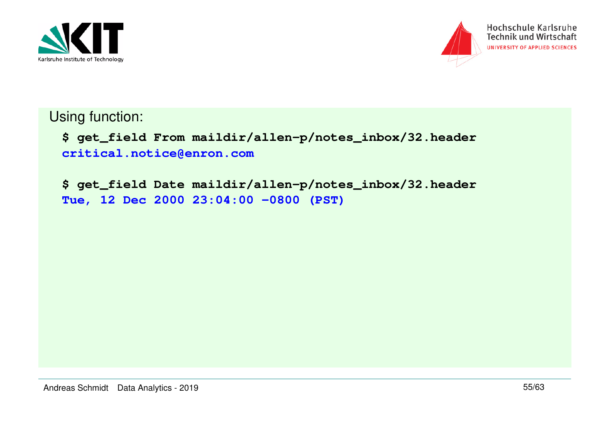



Using function:

**\$ get\_field From maildir/allen-p/notes\_inbox/32.headercritical.notice@enron.com**

**\$ get\_field Date maildir/allen-p/notes\_inbox/32.headerTue, 12 Dec 2000 23:04:00 -0800 (PST)**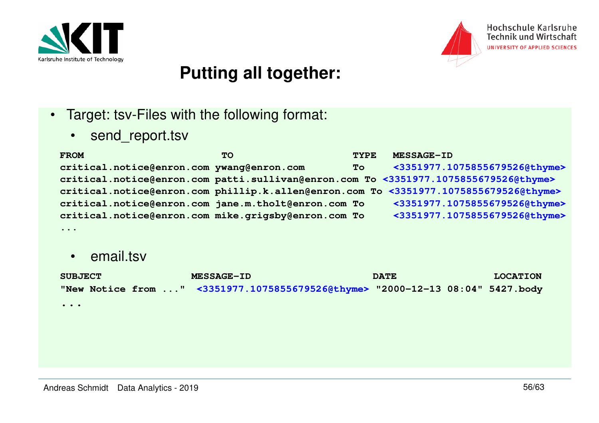



## **Putting all together:**

- Target: tsv-Files with the following format:
	- •send\_report.tsv

| <b>FROM</b>                                         | <b>TO</b> | <b>TYPE</b> | <b>MESSAGE-ID</b>                                                                    |
|-----------------------------------------------------|-----------|-------------|--------------------------------------------------------------------------------------|
| critical.notice@enron.com ywang@enron.com           |           | <b>To</b>   | <3351977.1075855679526@thyme>                                                        |
|                                                     |           |             | critical.notice@enron.com patti.sullivan@enron.com To <3351977.1075855679526@thyme>  |
|                                                     |           |             | critical.notice@enron.com phillip.k.allen@enron.com To <3351977.1075855679526@thyme> |
| critical.notice@enron.com jane.m.tholt@enron.com To |           |             | <3351977.1075855679526@thyme>                                                        |
| critical.notice@enron.com mike.grigsby@enron.com To |           |             | <3351977.1075855679526@thyme>                                                        |
| $\cdots$                                            |           |             |                                                                                      |

•email.tsv

| <b>SUBJECT</b>                                     | <b>MESSAGE-ID</b>                                                             | <b>DATE</b> | <b>LOCATION</b> |
|----------------------------------------------------|-------------------------------------------------------------------------------|-------------|-----------------|
|                                                    | "New Notice from " <3351977.1075855679526@thyme> "2000-12-13 08:04" 5427.body |             |                 |
|                                                    |                                                                               |             |                 |
| $\bullet\quad\bullet\quad\bullet\quad\bullet\quad$ |                                                                               |             |                 |
|                                                    |                                                                               |             |                 |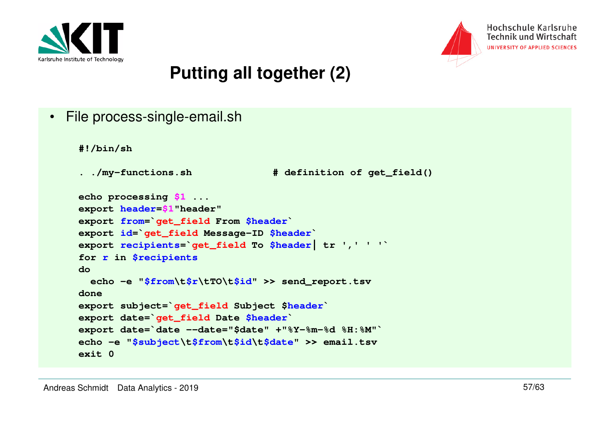



## **Putting all together (2)**

• File process-single-email.sh

```
#!/bin/sh
```

```
. ./my-functions.sh # definition of get_field()
```

```
echo processing $1 ...
export header=$1"header"
export from=`get_field From $header`
export id=`get_field Message-ID $header`
export recipients=`get_field To $header| tr ',' ' '`for r in $recipientsdo echo -e "$from\t$r\tTO\t$id" >> send_report.tsvdone
export subject=`get_field Subject $header`export date=`get_field Date $header`
export date=`date --date="$date" +"%Y-%m-%d %H:%M"`
echo -e "$subject\t$from\t$id\t$date" >> email.tsvexit 0
```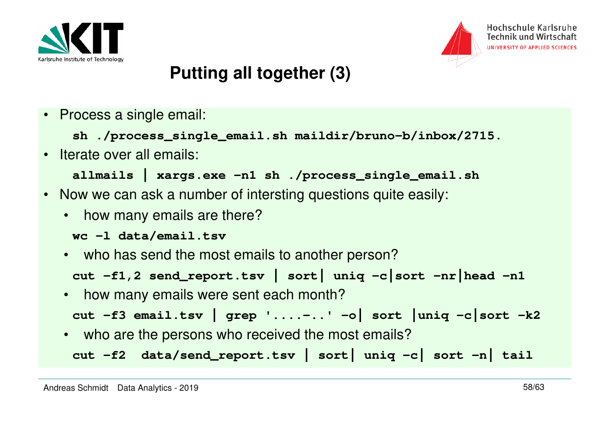



## **Putting all together (3)**

• Process a single email:

```
sh ./process_single_email.sh maildir/bruno-b/inbox/2715.
```
•Iterate over all emails:

```
allmails | xargs.exe -n1 sh ./process_single_email.sh
```
- Now we can ask a number of intersting questions quite easily:
	- •how many emails are there?

```
wc -l data/email.tsv
```
- who has send the most emails to another person?**cut -f1,2 send\_report.tsv | sort| uniq -c|sort -nr|head -n1**
- $\bullet$ how many emails were sent each month?

```

cut -f3 email.tsv | grep '....-..' -o| sort |uniq -c|sort -k2
```
• who are the persons who received the most emails?**cut -f2 data/send\_report.tsv | sort| uniq -c| sort -n| tail**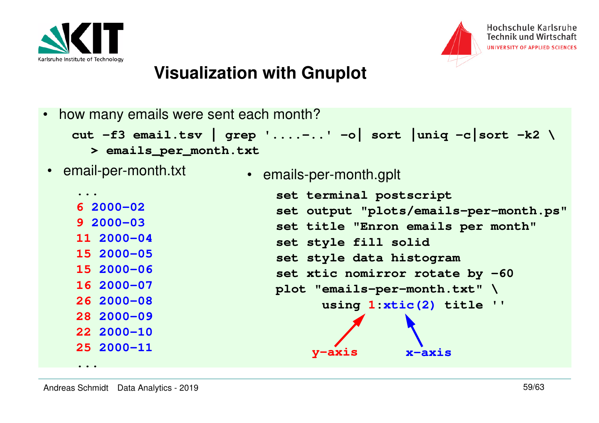



•how many emails were sent each month?

```

cut -f3 email.tsv | grep '....-..' -o| sort |uniq -c|sort -k2 \ > emails_per_month.txt
```
•email-per-month.txt

**6 2000-02**

**9 2000-03**

**11 2000-04**

**15 2000-05**

**15 2000-06**

**16 2000-07**

**26 2000-08**

**28 2000-09**

**22 2000-10**

**25 2000-11**

**...**

**...**

• emails-per-month.gplt

```
set terminal postscript
set output "plots/emails-per-month.ps"set title "Enron emails per month"set style fill solid
set style data histogram
set xtic nomirror rotate by -60plot "emails-per-month.txt" \
 using 1:xtic(2) title ''y-axis x-axis
```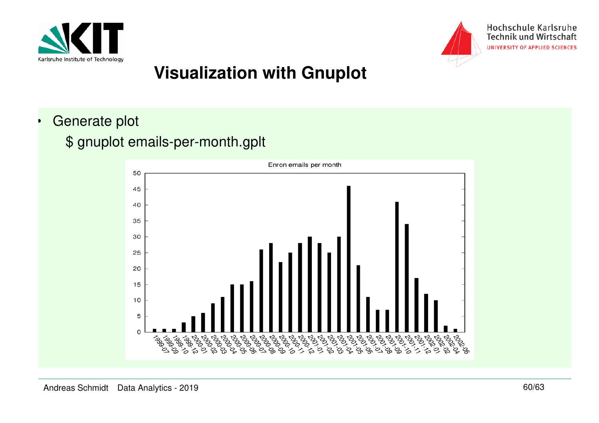



•Generate plot

#### \$ gnuplot emails-per-month.gplt

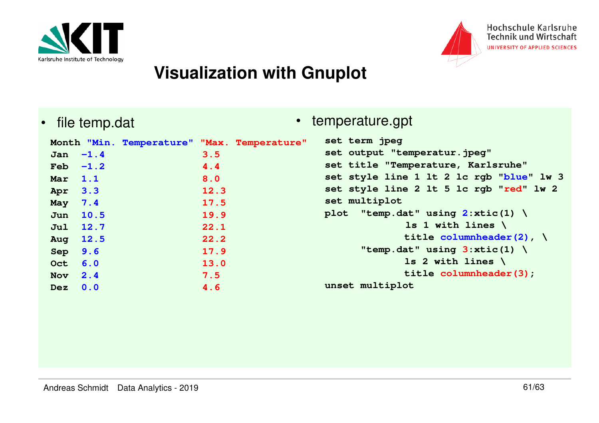



•file temp.dat • temperature.gpt

| Mar 1.1<br>Apr 3.3<br>May 7.4<br>Sep 9.6<br>Oct 6.0 | Month "Min. Temperature" "Max. Temperature"<br>Jan $-1.4$<br>$Feb -1.2$<br>Jun 10.5<br>Jul 12.7<br>Aug 12.5 | 3.5<br>4.4<br>8.0<br>12.3<br>17.5<br>19.9<br>22.1<br>22.2<br>17.9<br>13.0 | set term jpeg<br>set output "temperatur.jpeg"<br>set title "Temperature, Karlsruhe"<br>set style line 1 lt 2 lc rgb "blue" lw 3<br>set style line 2 lt 5 lc rgb "red" lw 2<br>set multiplot<br>plot "temp.dat" using $2:xtic(1)$<br>1s 1 with lines $\setminus$<br>title columnheader $(2)$ , $\setminus$<br>"temp.dat" using $3:xtic(1)$<br>1s 2 with lines $\setminus$ |
|-----------------------------------------------------|-------------------------------------------------------------------------------------------------------------|---------------------------------------------------------------------------|--------------------------------------------------------------------------------------------------------------------------------------------------------------------------------------------------------------------------------------------------------------------------------------------------------------------------------------------------------------------------|
|                                                     |                                                                                                             |                                                                           |                                                                                                                                                                                                                                                                                                                                                                          |
| Nov $2.4$                                           |                                                                                                             | 7.5                                                                       | title columnheader(3);<br>unset multiplot                                                                                                                                                                                                                                                                                                                                |
| $Dez$ 0.0                                           |                                                                                                             | 4.6                                                                       |                                                                                                                                                                                                                                                                                                                                                                          |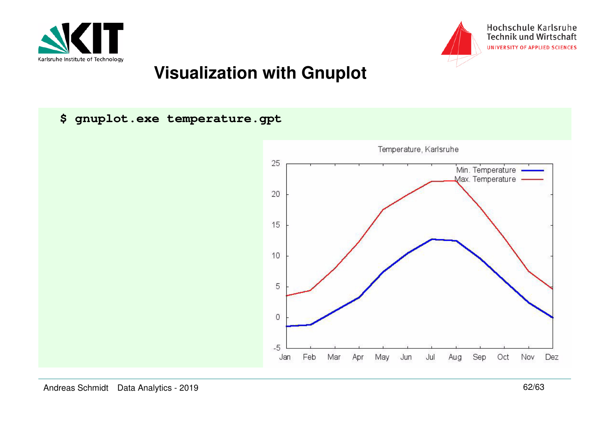



**\$ gnuplot.exe temperature.gpt**